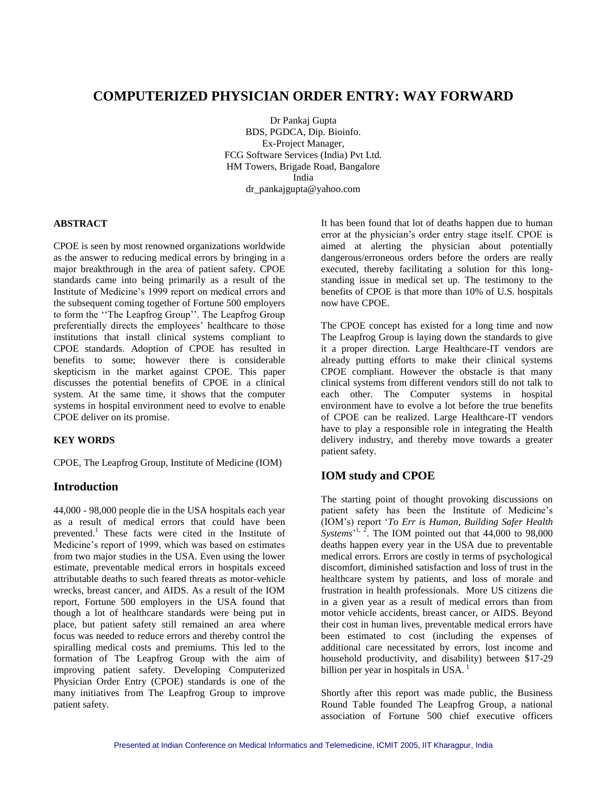# **COMPUTERIZED PHYSICIAN ORDER ENTRY: WAY FORWARD**

Dr Pankaj Gupta BDS, PGDCA, Dip. Bioinfo. Ex-Project Manager, FCG Software Services (India) Pvt Ltd. HM Towers, Brigade Road, Bangalore India dr\_pankajgupta@yahoo.com

#### **ABSTRACT**

CPOE is seen by most renowned organizations worldwide as the answer to reducing medical errors by bringing in a major breakthrough in the area of patient safety. CPOE standards came into being primarily as a result of the Institute of Medicine's 1999 report on medical errors and the subsequent coming together of Fortune 500 employers to form the "The Leapfrog Group". The Leapfrog Group preferentially directs the employees' healthcare to those institutions that install clinical systems compliant to CPOE standards. Adoption of CPOE has resulted in benefits to some; however there is considerable skepticism in the market against CPOE. This paper discusses the potential benefits of CPOE in a clinical system. At the same time, it shows that the computer systems in hospital environment need to evolve to enable CPOE deliver on its promise.

#### **KEY WORDS**

CPOE, The Leapfrog Group, Institute of Medicine (IOM)

#### **Introduction**

44,000 - 98,000 people die in the USA hospitals each year as a result of medical errors that could have been prevented.<sup>1</sup> These facts were cited in the Institute of Medicine's report of 1999, which was based on estimates from two major studies in the USA. Even using the lower estimate, preventable medical errors in hospitals exceed attributable deaths to such feared threats as motor-vehicle wrecks, breast cancer, and AIDS. As a result of the IOM report, Fortune 500 employers in the USA found that though a lot of healthcare standards were being put in place, but patient safety still remained an area where focus was needed to reduce errors and thereby control the spiralling medical costs and premiums. This led to the formation of The Leapfrog Group with the aim of improving patient safety. Developing Computerized Physician Order Entry (CPOE) standards is one of the many initiatives from The Leapfrog Group to improve patient safety.

It has been found that lot of deaths happen due to human error at the physician's order entry stage itself. CPOE is aimed at alerting the physician about potentially dangerous/erroneous orders before the orders are really executed, thereby facilitating a solution for this longstanding issue in medical set up. The testimony to the benefits of CPOE is that more than 10% of U.S. hospitals now have CPOE.

The CPOE concept has existed for a long time and now The Leapfrog Group is laying down the standards to give it a proper direction. Large Healthcare-IT vendors are already putting efforts to make their clinical systems CPOE compliant. However the obstacle is that many clinical systems from different vendors still do not talk to each other. The Computer systems in hospital environment have to evolve a lot before the true benefits of CPOE can be realized. Large Healthcare-IT vendors have to play a responsible role in integrating the Health delivery industry, and thereby move towards a greater patient safety.

# **IOM study and CPOE**

The starting point of thought provoking discussions on patient safety has been the Institute of Medicine's (IOM's) report ‗*To Err is Human, Building Safer Health Systems*<sup>'1, 2</sup>. The IOM pointed out that  $44,000$  to  $98,000$ deaths happen every year in the USA due to preventable medical errors. Errors are costly in terms of psychological discomfort, diminished satisfaction and loss of trust in the healthcare system by patients, and loss of morale and frustration in health professionals. More US citizens die in a given year as a result of medical errors than from motor vehicle accidents, breast cancer, or AIDS. Beyond their cost in human lives, preventable medical errors have been estimated to cost (including the expenses of additional care necessitated by errors, lost income and household productivity, and disability) between \$17-29 billion per year in hospitals in USA. $<sup>1</sup>$ </sup>

Shortly after this report was made public, the Business Round Table founded The Leapfrog Group, a national association of Fortune 500 chief executive officers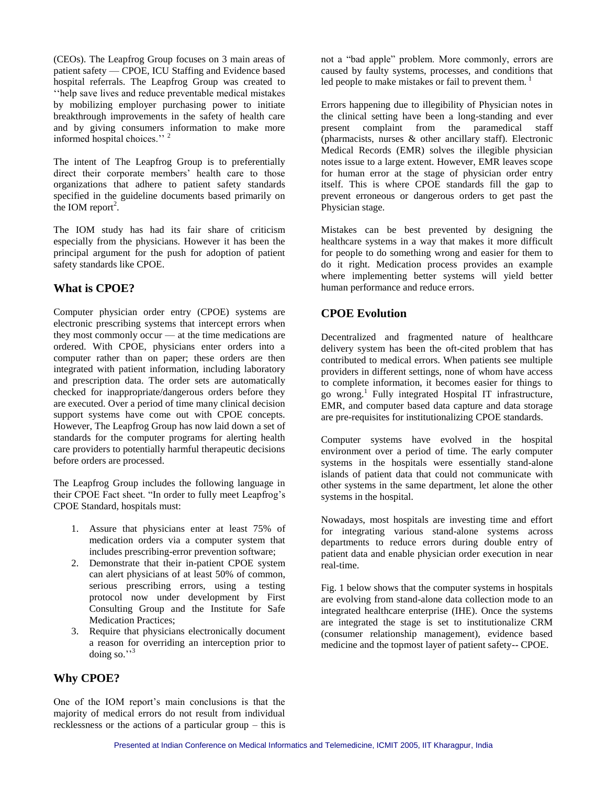(CEOs). The Leapfrog Group focuses on 3 main areas of patient safety — CPOE, ICU Staffing and Evidence based hospital referrals. The Leapfrog Group was created to ‗‗help save lives and reduce preventable medical mistakes by mobilizing employer purchasing power to initiate breakthrough improvements in the safety of health care and by giving consumers information to make more informed hospital choices.'' <sup>2</sup>

The intent of The Leapfrog Group is to preferentially direct their corporate members' health care to those organizations that adhere to patient safety standards specified in the guideline documents based primarily on the IOM report<sup>2</sup>.

The IOM study has had its fair share of criticism especially from the physicians. However it has been the principal argument for the push for adoption of patient safety standards like CPOE.

### **What is CPOE?**

Computer physician order entry (CPOE) systems are electronic prescribing systems that intercept errors when they most commonly occur — at the time medications are ordered. With CPOE, physicians enter orders into a computer rather than on paper; these orders are then integrated with patient information, including laboratory and prescription data. The order sets are automatically checked for inappropriate/dangerous orders before they are executed. Over a period of time many clinical decision support systems have come out with CPOE concepts. However, The Leapfrog Group has now laid down a set of standards for the computer programs for alerting health care providers to potentially harmful therapeutic decisions before orders are processed.

The Leapfrog Group includes the following language in their CPOE Fact sheet. "In order to fully meet Leapfrog's CPOE Standard, hospitals must:

- 1. Assure that physicians enter at least 75% of medication orders via a computer system that includes prescribing-error prevention software;
- 2. Demonstrate that their in-patient CPOE system can alert physicians of at least 50% of common, serious prescribing errors, using a testing protocol now under development by First Consulting Group and the Institute for Safe Medication Practices;
- 3. Require that physicians electronically document a reason for overriding an interception prior to doing so." $3$

### **Why CPOE?**

One of the IOM report's main conclusions is that the majority of medical errors do not result from individual recklessness or the actions of a particular group – this is not a "bad apple" problem. More commonly, errors are caused by faulty systems, processes, and conditions that led people to make mistakes or fail to prevent them.  $<sup>1</sup>$ </sup>

Errors happening due to illegibility of Physician notes in the clinical setting have been a long-standing and ever present complaint from the paramedical staff (pharmacists, nurses & other ancillary staff). Electronic Medical Records (EMR) solves the illegible physician notes issue to a large extent. However, EMR leaves scope for human error at the stage of physician order entry itself. This is where CPOE standards fill the gap to prevent erroneous or dangerous orders to get past the Physician stage.

Mistakes can be best prevented by designing the healthcare systems in a way that makes it more difficult for people to do something wrong and easier for them to do it right. Medication process provides an example where implementing better systems will yield better human performance and reduce errors.

### **CPOE Evolution**

Decentralized and fragmented nature of healthcare delivery system has been the oft-cited problem that has contributed to medical errors. When patients see multiple providers in different settings, none of whom have access to complete information, it becomes easier for things to go wrong.<sup>1</sup> Fully integrated Hospital IT infrastructure, EMR, and computer based data capture and data storage are pre-requisites for institutionalizing CPOE standards.

Computer systems have evolved in the hospital environment over a period of time. The early computer systems in the hospitals were essentially stand-alone islands of patient data that could not communicate with other systems in the same department, let alone the other systems in the hospital.

Nowadays, most hospitals are investing time and effort for integrating various stand-alone systems across departments to reduce errors during double entry of patient data and enable physician order execution in near real-time.

Fig. 1 below shows that the computer systems in hospitals are evolving from stand-alone data collection mode to an integrated healthcare enterprise (IHE). Once the systems are integrated the stage is set to institutionalize CRM (consumer relationship management), evidence based medicine and the topmost layer of patient safety-- CPOE.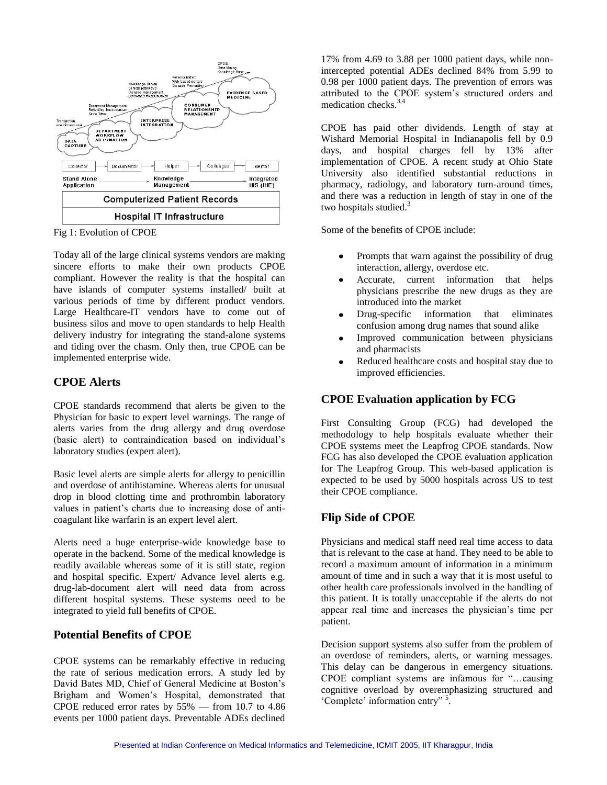

Fig 1: Evolution of CPOE

Today all of the large clinical systems vendors are making sincere efforts to make their own products CPOE compliant. However the reality is that the hospital can have islands of computer systems installed/ built at various periods of time by different product vendors. Large Healthcare-IT vendors have to come out of business silos and move to open standards to help Health delivery industry for integrating the stand-alone systems and tiding over the chasm. Only then, true CPOE can be implemented enterprise wide.

### **CPOE Alerts**

CPOE standards recommend that alerts be given to the Physician for basic to expert level warnings. The range of alerts varies from the drug allergy and drug overdose (basic alert) to contraindication based on individual's laboratory studies (expert alert).

Basic level alerts are simple alerts for allergy to penicillin and overdose of antihistamine. Whereas alerts for unusual drop in blood clotting time and prothrombin laboratory values in patient's charts due to increasing dose of anticoagulant like warfarin is an expert level alert.

Alerts need a huge enterprise-wide knowledge base to operate in the backend. Some of the medical knowledge is readily available whereas some of it is still state, region and hospital specific. Expert/ Advance level alerts e.g. drug-lab-document alert will need data from across different hospital systems. These systems need to be integrated to yield full benefits of CPOE.

# **Potential Benefits of CPOE**

CPOE systems can be remarkably effective in reducing the rate of serious medication errors. A study led by David Bates MD, Chief of General Medicine at Boston's Brigham and Women's Hospital, demonstrated that CPOE reduced error rates by 55% — from 10.7 to 4.86 events per 1000 patient days. Preventable ADEs declined 17% from 4.69 to 3.88 per 1000 patient days, while nonintercepted potential ADEs declined 84% from 5.99 to 0.98 per 1000 patient days. The prevention of errors was attributed to the CPOE system's structured orders and medication checks.3,4

CPOE has paid other dividends. Length of stay at Wishard Memorial Hospital in Indianapolis fell by 0.9 days, and hospital charges fell by 13% after implementation of CPOE. A recent study at Ohio State University also identified substantial reductions in pharmacy, radiology, and laboratory turn-around times, and there was a reduction in length of stay in one of the two hospitals studied. $3$ 

Some of the benefits of CPOE include:

- Prompts that warn against the possibility of drug interaction, allergy, overdose etc.
- Accurate, current information that helps physicians prescribe the new drugs as they are introduced into the market
- Drug-specific information that eliminates  $\bullet$ confusion among drug names that sound alike
- Improved communication between physicians and pharmacists
- Reduced healthcare costs and hospital stay due to  $\bullet$ improved efficiencies.

# **CPOE Evaluation application by FCG**

First Consulting Group (FCG) had developed the methodology to help hospitals evaluate whether their CPOE systems meet the Leapfrog CPOE standards. Now FCG has also developed the CPOE evaluation application for The Leapfrog Group. This web-based application is expected to be used by 5000 hospitals across US to test their CPOE compliance.

# **Flip Side of CPOE**

Physicians and medical staff need real time access to data that is relevant to the case at hand. They need to be able to record a maximum amount of information in a minimum amount of time and in such a way that it is most useful to other health care professionals involved in the handling of this patient. It is totally unacceptable if the alerts do not appear real time and increases the physician's time per patient.

Decision support systems also suffer from the problem of an overdose of reminders, alerts, or warning messages. This delay can be dangerous in emergency situations. CPOE compliant systems are infamous for "...causing cognitive overload by overemphasizing structured and 'Complete' information entry" <sup>5</sup>.